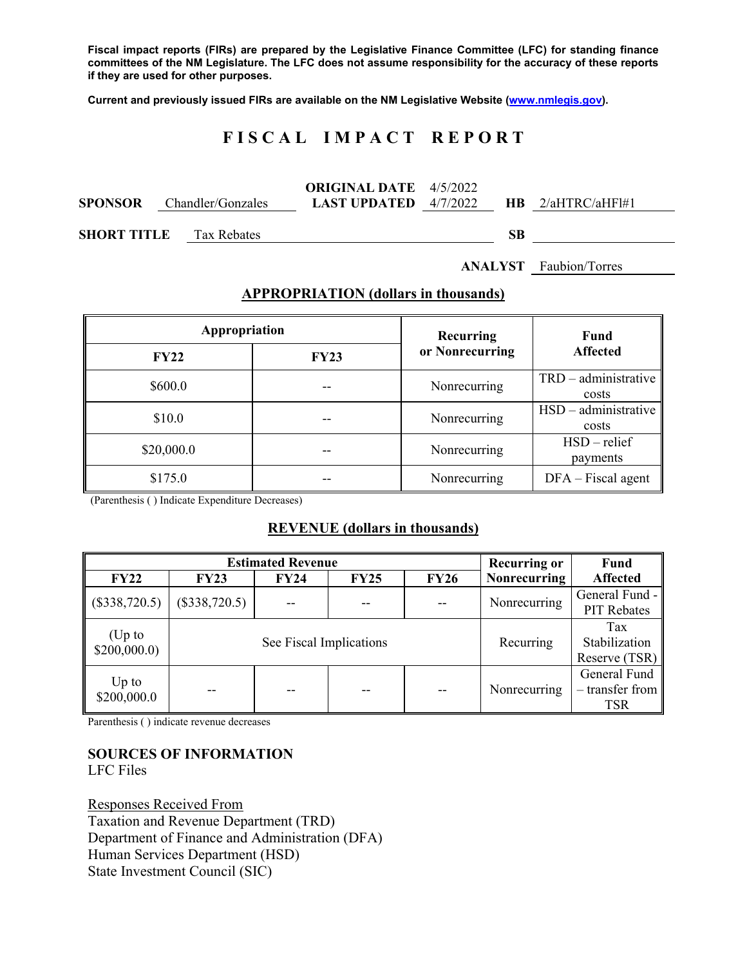**Fiscal impact reports (FIRs) are prepared by the Legislative Finance Committee (LFC) for standing finance committees of the NM Legislature. The LFC does not assume responsibility for the accuracy of these reports if they are used for other purposes.** 

**Current and previously issued FIRs are available on the NM Legislative Website (www.nmlegis.gov).** 

# **F I S C A L I M P A C T R E P O R T**

|                    |                   | <b>ORIGINAL DATE</b> $4/5/2022$ |     |                     |  |
|--------------------|-------------------|---------------------------------|-----|---------------------|--|
| <b>SPONSOR</b>     | Chandler/Gonzales | <b>LAST UPDATED</b> $4/7/2022$  |     | $HR$ 2/aHTRC/aHF1#1 |  |
|                    |                   |                                 |     |                     |  |
| <b>SHORT TITLE</b> | Tax Rebates       |                                 | SB. |                     |  |

**ANALYST** Faubion/Torres

#### **APPROPRIATION (dollars in thousands)**

| Appropriation |             | Recurring       | <b>Fund</b>                     |  |  |  |
|---------------|-------------|-----------------|---------------------------------|--|--|--|
| <b>FY22</b>   | <b>FY23</b> | or Nonrecurring | <b>Affected</b>                 |  |  |  |
| \$600.0       | --          | Nonrecurring    | $TRD - administrative$<br>costs |  |  |  |
| \$10.0        |             | Nonrecurring    | $HSD - administrative$<br>costs |  |  |  |
| \$20,000.0    |             | Nonrecurring    | $HSD$ – relief<br>payments      |  |  |  |
| \$175.0       |             | Nonrecurring    | $DFA - Fiscal agent$            |  |  |  |

(Parenthesis ( ) Indicate Expenditure Decreases)

#### **REVENUE (dollars in thousands)**

|                        |                 | <b>Estimated Revenue</b> |             |             | <b>Recurring or</b> | <b>Fund</b>                                     |  |  |
|------------------------|-----------------|--------------------------|-------------|-------------|---------------------|-------------------------------------------------|--|--|
| <b>FY22</b>            | <b>FY23</b>     | <b>FY24</b>              | <b>FY25</b> | <b>FY26</b> | <b>Nonrecurring</b> | <b>Affected</b>                                 |  |  |
| $(\$338,720.5)$        | $(\$338,720.5)$ | $-$                      | $- -$       | $-$         | Nonrecurring        | General Fund -<br>PIT Rebates                   |  |  |
| (Up to<br>\$200,000.0  |                 | See Fiscal Implications  |             |             | Recurring           | Tax<br>Stabilization<br>Reserve $(TSR)$         |  |  |
| $Up$ to<br>\$200,000.0 |                 |                          |             | --          | Nonrecurring        | General Fund<br>$-$ transfer from<br><b>TSR</b> |  |  |

Parenthesis ( ) indicate revenue decreases

# **SOURCES OF INFORMATION**

LFC Files

Responses Received From Taxation and Revenue Department (TRD) Department of Finance and Administration (DFA) Human Services Department (HSD) State Investment Council (SIC)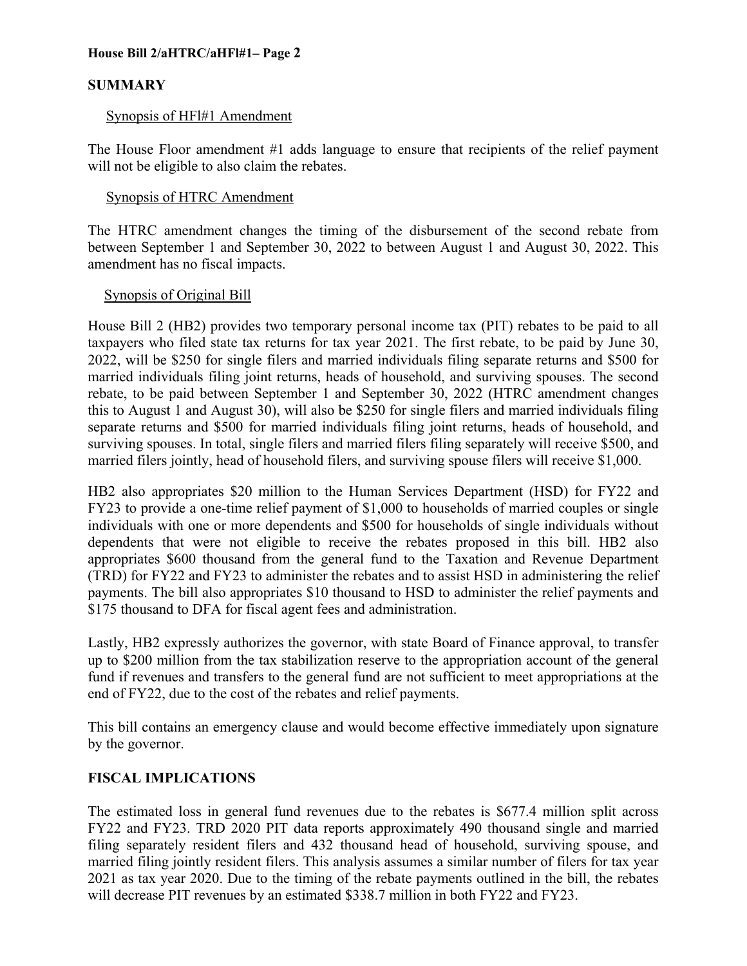# **SUMMARY**

# Synopsis of HFl#1 Amendment

The House Floor amendment #1 adds language to ensure that recipients of the relief payment will not be eligible to also claim the rebates.

# Synopsis of HTRC Amendment

The HTRC amendment changes the timing of the disbursement of the second rebate from between September 1 and September 30, 2022 to between August 1 and August 30, 2022. This amendment has no fiscal impacts.

# Synopsis of Original Bill

House Bill 2 (HB2) provides two temporary personal income tax (PIT) rebates to be paid to all taxpayers who filed state tax returns for tax year 2021. The first rebate, to be paid by June 30, 2022, will be \$250 for single filers and married individuals filing separate returns and \$500 for married individuals filing joint returns, heads of household, and surviving spouses. The second rebate, to be paid between September 1 and September 30, 2022 (HTRC amendment changes this to August 1 and August 30), will also be \$250 for single filers and married individuals filing separate returns and \$500 for married individuals filing joint returns, heads of household, and surviving spouses. In total, single filers and married filers filing separately will receive \$500, and married filers jointly, head of household filers, and surviving spouse filers will receive \$1,000.

HB2 also appropriates \$20 million to the Human Services Department (HSD) for FY22 and FY23 to provide a one-time relief payment of \$1,000 to households of married couples or single individuals with one or more dependents and \$500 for households of single individuals without dependents that were not eligible to receive the rebates proposed in this bill. HB2 also appropriates \$600 thousand from the general fund to the Taxation and Revenue Department (TRD) for FY22 and FY23 to administer the rebates and to assist HSD in administering the relief payments. The bill also appropriates \$10 thousand to HSD to administer the relief payments and \$175 thousand to DFA for fiscal agent fees and administration.

Lastly, HB2 expressly authorizes the governor, with state Board of Finance approval, to transfer up to \$200 million from the tax stabilization reserve to the appropriation account of the general fund if revenues and transfers to the general fund are not sufficient to meet appropriations at the end of FY22, due to the cost of the rebates and relief payments.

This bill contains an emergency clause and would become effective immediately upon signature by the governor.

# **FISCAL IMPLICATIONS**

The estimated loss in general fund revenues due to the rebates is \$677.4 million split across FY22 and FY23. TRD 2020 PIT data reports approximately 490 thousand single and married filing separately resident filers and 432 thousand head of household, surviving spouse, and married filing jointly resident filers. This analysis assumes a similar number of filers for tax year 2021 as tax year 2020. Due to the timing of the rebate payments outlined in the bill, the rebates will decrease PIT revenues by an estimated \$338.7 million in both FY22 and FY23.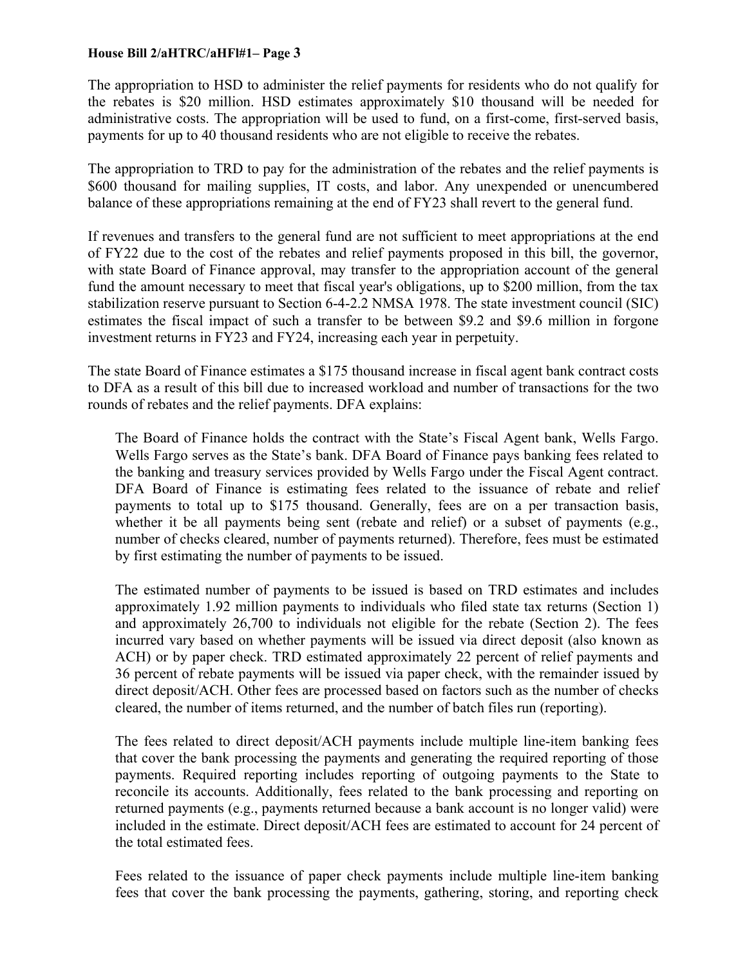The appropriation to HSD to administer the relief payments for residents who do not qualify for the rebates is \$20 million. HSD estimates approximately \$10 thousand will be needed for administrative costs. The appropriation will be used to fund, on a first-come, first-served basis, payments for up to 40 thousand residents who are not eligible to receive the rebates.

The appropriation to TRD to pay for the administration of the rebates and the relief payments is \$600 thousand for mailing supplies, IT costs, and labor. Any unexpended or unencumbered balance of these appropriations remaining at the end of FY23 shall revert to the general fund.

If revenues and transfers to the general fund are not sufficient to meet appropriations at the end of FY22 due to the cost of the rebates and relief payments proposed in this bill, the governor, with state Board of Finance approval, may transfer to the appropriation account of the general fund the amount necessary to meet that fiscal year's obligations, up to \$200 million, from the tax stabilization reserve pursuant to Section 6-4-2.2 NMSA 1978. The state investment council (SIC) estimates the fiscal impact of such a transfer to be between \$9.2 and \$9.6 million in forgone investment returns in FY23 and FY24, increasing each year in perpetuity.

The state Board of Finance estimates a \$175 thousand increase in fiscal agent bank contract costs to DFA as a result of this bill due to increased workload and number of transactions for the two rounds of rebates and the relief payments. DFA explains:

The Board of Finance holds the contract with the State's Fiscal Agent bank, Wells Fargo. Wells Fargo serves as the State's bank. DFA Board of Finance pays banking fees related to the banking and treasury services provided by Wells Fargo under the Fiscal Agent contract. DFA Board of Finance is estimating fees related to the issuance of rebate and relief payments to total up to \$175 thousand. Generally, fees are on a per transaction basis, whether it be all payments being sent (rebate and relief) or a subset of payments (e.g., number of checks cleared, number of payments returned). Therefore, fees must be estimated by first estimating the number of payments to be issued.

The estimated number of payments to be issued is based on TRD estimates and includes approximately 1.92 million payments to individuals who filed state tax returns (Section 1) and approximately 26,700 to individuals not eligible for the rebate (Section 2). The fees incurred vary based on whether payments will be issued via direct deposit (also known as ACH) or by paper check. TRD estimated approximately 22 percent of relief payments and 36 percent of rebate payments will be issued via paper check, with the remainder issued by direct deposit/ACH. Other fees are processed based on factors such as the number of checks cleared, the number of items returned, and the number of batch files run (reporting).

The fees related to direct deposit/ACH payments include multiple line-item banking fees that cover the bank processing the payments and generating the required reporting of those payments. Required reporting includes reporting of outgoing payments to the State to reconcile its accounts. Additionally, fees related to the bank processing and reporting on returned payments (e.g., payments returned because a bank account is no longer valid) were included in the estimate. Direct deposit/ACH fees are estimated to account for 24 percent of the total estimated fees.

Fees related to the issuance of paper check payments include multiple line-item banking fees that cover the bank processing the payments, gathering, storing, and reporting check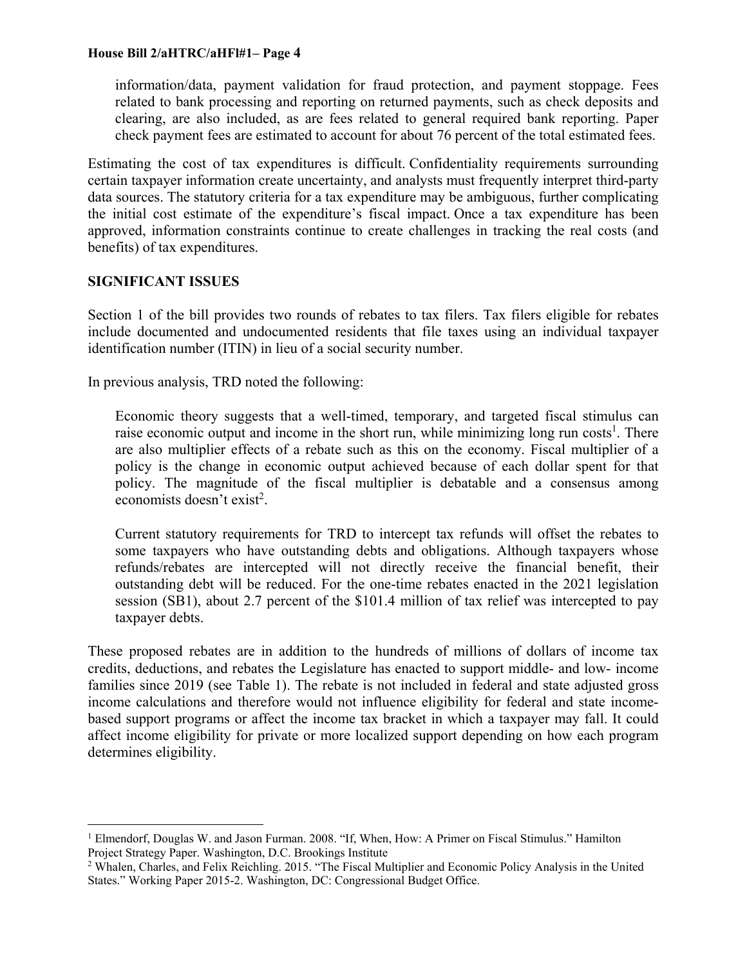information/data, payment validation for fraud protection, and payment stoppage. Fees related to bank processing and reporting on returned payments, such as check deposits and clearing, are also included, as are fees related to general required bank reporting. Paper check payment fees are estimated to account for about 76 percent of the total estimated fees.

Estimating the cost of tax expenditures is difficult. Confidentiality requirements surrounding certain taxpayer information create uncertainty, and analysts must frequently interpret third-party data sources. The statutory criteria for a tax expenditure may be ambiguous, further complicating the initial cost estimate of the expenditure's fiscal impact. Once a tax expenditure has been approved, information constraints continue to create challenges in tracking the real costs (and benefits) of tax expenditures.

#### **SIGNIFICANT ISSUES**

1

Section 1 of the bill provides two rounds of rebates to tax filers. Tax filers eligible for rebates include documented and undocumented residents that file taxes using an individual taxpayer identification number (ITIN) in lieu of a social security number.

In previous analysis, TRD noted the following:

Economic theory suggests that a well-timed, temporary, and targeted fiscal stimulus can raise economic output and income in the short run, while minimizing long run costs<sup>1</sup>. There are also multiplier effects of a rebate such as this on the economy. Fiscal multiplier of a policy is the change in economic output achieved because of each dollar spent for that policy. The magnitude of the fiscal multiplier is debatable and a consensus among economists doesn't exist<sup>2</sup>.

Current statutory requirements for TRD to intercept tax refunds will offset the rebates to some taxpayers who have outstanding debts and obligations. Although taxpayers whose refunds/rebates are intercepted will not directly receive the financial benefit, their outstanding debt will be reduced. For the one-time rebates enacted in the 2021 legislation session (SB1), about 2.7 percent of the \$101.4 million of tax relief was intercepted to pay taxpayer debts.

These proposed rebates are in addition to the hundreds of millions of dollars of income tax credits, deductions, and rebates the Legislature has enacted to support middle- and low- income families since 2019 (see Table 1). The rebate is not included in federal and state adjusted gross income calculations and therefore would not influence eligibility for federal and state incomebased support programs or affect the income tax bracket in which a taxpayer may fall. It could affect income eligibility for private or more localized support depending on how each program determines eligibility.

<sup>&</sup>lt;sup>1</sup> Elmendorf, Douglas W. and Jason Furman. 2008. "If, When, How: A Primer on Fiscal Stimulus." Hamilton Project Strategy Paper. Washington, D.C. Brookings Institute 2

Whalen, Charles, and Felix Reichling. 2015. "The Fiscal Multiplier and Economic Policy Analysis in the United States." Working Paper 2015-2. Washington, DC: Congressional Budget Office.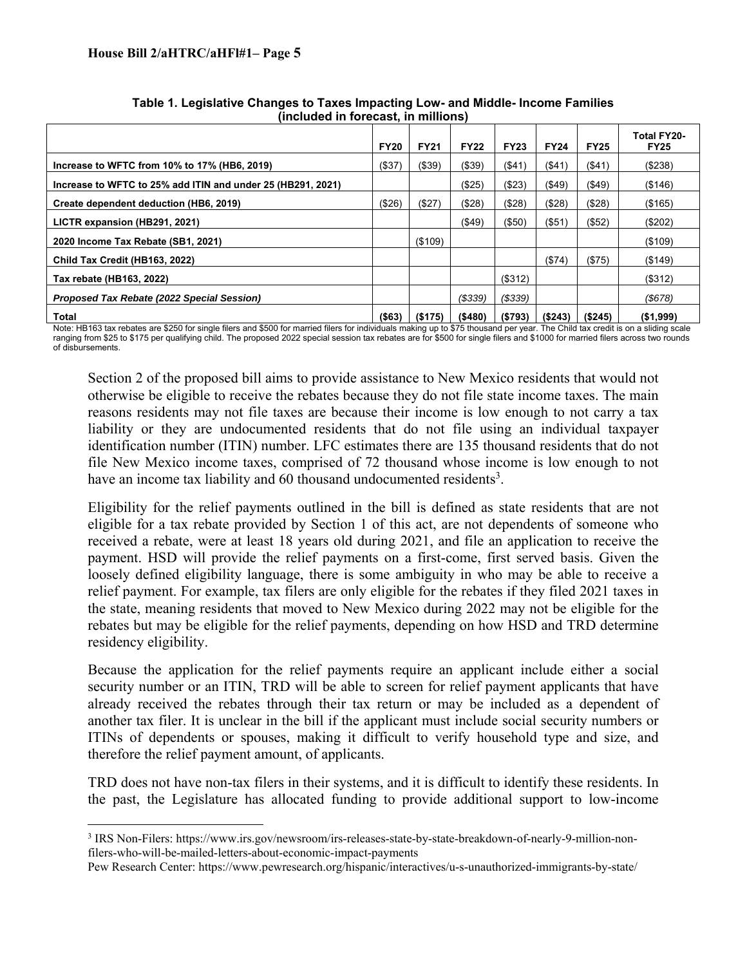$\overline{a}$ 

|                                                             | <b>FY20</b> | <b>FY21</b>   | <b>FY22</b> | <b>FY23</b> | <b>FY24</b> | <b>FY25</b> | <b>Total FY20-</b><br><b>FY25</b> |
|-------------------------------------------------------------|-------------|---------------|-------------|-------------|-------------|-------------|-----------------------------------|
| Increase to WFTC from 10% to 17% (HB6, 2019)                | ( \$37)     | ( \$39)       | (\$39)      | ( \$41)     | $($ \$41)   | ( \$41)     | (\$238)                           |
| Increase to WFTC to 25% add ITIN and under 25 (HB291, 2021) |             |               | (\$25)      | ( \$23)     | ( \$49)     | ( \$49)     | (\$146)                           |
| Create dependent deduction (HB6, 2019)                      | ( \$26)     | (\$27)        | (\$28)      | (\$28)      | (\$28)      | ( \$28)     | (\$165)                           |
| LICTR expansion (HB291, 2021)                               |             |               | $($ \$49)   | $($ \$50)   | (\$51)      | ( \$52)     | (\$202)                           |
| 2020 Income Tax Rebate (SB1, 2021)                          |             | $($ \$109 $)$ |             |             |             |             | (\$109)                           |
| Child Tax Credit (HB163, 2022)                              |             |               |             |             | (\$74)      | ( \$75)     | (\$149)                           |
| Tax rebate (HB163, 2022)                                    |             |               |             | (\$312)     |             |             | (\$312)                           |
| Proposed Tax Rebate (2022 Special Session)                  |             |               | (S339)      | (S339)      |             |             | (S678)                            |
| Total                                                       | ( \$63)     | (\$175)       | ( \$480)    | ( \$793)    | (S243)      | (\$245)     | ( \$1,999)                        |

**Table 1. Legislative Changes to Taxes Impacting Low- and Middle- Income Families (included in forecast, in millions)** 

Note: HB163 tax rebates are \$250 for single filers and \$500 for married filers for individuals making up to \$75 thousand per year. The Child tax credit is on a sliding scale ranging from \$25 to \$175 per qualifying child. The proposed 2022 special session tax rebates are for \$500 for single filers and \$1000 for married filers across two rounds of disbursements.

Section 2 of the proposed bill aims to provide assistance to New Mexico residents that would not otherwise be eligible to receive the rebates because they do not file state income taxes. The main reasons residents may not file taxes are because their income is low enough to not carry a tax liability or they are undocumented residents that do not file using an individual taxpayer identification number (ITIN) number. LFC estimates there are 135 thousand residents that do not file New Mexico income taxes, comprised of 72 thousand whose income is low enough to not have an income tax liability and  $60$  thousand undocumented residents<sup>3</sup>.

Eligibility for the relief payments outlined in the bill is defined as state residents that are not eligible for a tax rebate provided by Section 1 of this act, are not dependents of someone who received a rebate, were at least 18 years old during 2021, and file an application to receive the payment. HSD will provide the relief payments on a first-come, first served basis. Given the loosely defined eligibility language, there is some ambiguity in who may be able to receive a relief payment. For example, tax filers are only eligible for the rebates if they filed 2021 taxes in the state, meaning residents that moved to New Mexico during 2022 may not be eligible for the rebates but may be eligible for the relief payments, depending on how HSD and TRD determine residency eligibility.

Because the application for the relief payments require an applicant include either a social security number or an ITIN, TRD will be able to screen for relief payment applicants that have already received the rebates through their tax return or may be included as a dependent of another tax filer. It is unclear in the bill if the applicant must include social security numbers or ITINs of dependents or spouses, making it difficult to verify household type and size, and therefore the relief payment amount, of applicants.

TRD does not have non-tax filers in their systems, and it is difficult to identify these residents. In the past, the Legislature has allocated funding to provide additional support to low-income

<sup>3</sup> IRS Non-Filers: https://www.irs.gov/newsroom/irs-releases-state-by-state-breakdown-of-nearly-9-million-nonfilers-who-will-be-mailed-letters-about-economic-impact-payments

Pew Research Center: https://www.pewresearch.org/hispanic/interactives/u-s-unauthorized-immigrants-by-state/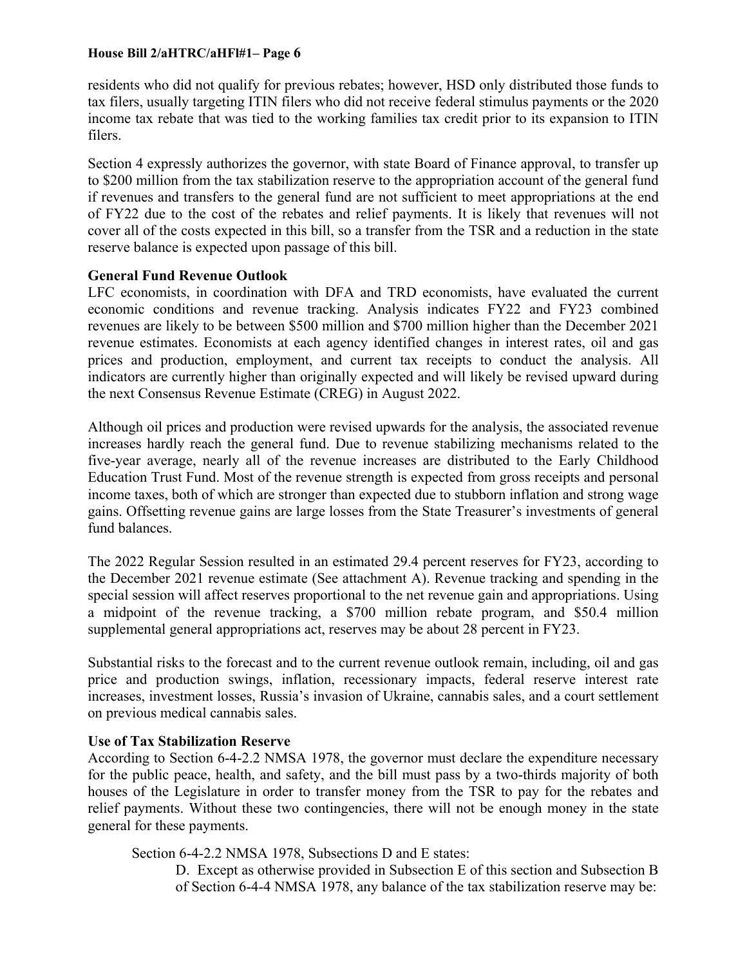residents who did not qualify for previous rebates; however, HSD only distributed those funds to tax filers, usually targeting ITIN filers who did not receive federal stimulus payments or the 2020 income tax rebate that was tied to the working families tax credit prior to its expansion to ITIN filers.

Section 4 expressly authorizes the governor, with state Board of Finance approval, to transfer up to \$200 million from the tax stabilization reserve to the appropriation account of the general fund if revenues and transfers to the general fund are not sufficient to meet appropriations at the end of FY22 due to the cost of the rebates and relief payments. It is likely that revenues will not cover all of the costs expected in this bill, so a transfer from the TSR and a reduction in the state reserve balance is expected upon passage of this bill.

#### **General Fund Revenue Outlook**

LFC economists, in coordination with DFA and TRD economists, have evaluated the current economic conditions and revenue tracking. Analysis indicates FY22 and FY23 combined revenues are likely to be between \$500 million and \$700 million higher than the December 2021 revenue estimates. Economists at each agency identified changes in interest rates, oil and gas prices and production, employment, and current tax receipts to conduct the analysis. All indicators are currently higher than originally expected and will likely be revised upward during the next Consensus Revenue Estimate (CREG) in August 2022.

Although oil prices and production were revised upwards for the analysis, the associated revenue increases hardly reach the general fund. Due to revenue stabilizing mechanisms related to the five-year average, nearly all of the revenue increases are distributed to the Early Childhood Education Trust Fund. Most of the revenue strength is expected from gross receipts and personal income taxes, both of which are stronger than expected due to stubborn inflation and strong wage gains. Offsetting revenue gains are large losses from the State Treasurer's investments of general fund balances.

The 2022 Regular Session resulted in an estimated 29.4 percent reserves for FY23, according to the December 2021 revenue estimate (See attachment A). Revenue tracking and spending in the special session will affect reserves proportional to the net revenue gain and appropriations. Using a midpoint of the revenue tracking, a \$700 million rebate program, and \$50.4 million supplemental general appropriations act, reserves may be about 28 percent in FY23.

Substantial risks to the forecast and to the current revenue outlook remain, including, oil and gas price and production swings, inflation, recessionary impacts, federal reserve interest rate increases, investment losses, Russia's invasion of Ukraine, cannabis sales, and a court settlement on previous medical cannabis sales.

#### **Use of Tax Stabilization Reserve**

According to Section 6-4-2.2 NMSA 1978, the governor must declare the expenditure necessary for the public peace, health, and safety, and the bill must pass by a two-thirds majority of both houses of the Legislature in order to transfer money from the TSR to pay for the rebates and relief payments. Without these two contingencies, there will not be enough money in the state general for these payments.

Section 6-4-2.2 NMSA 1978, Subsections D and E states:

D. Except as otherwise provided in Subsection E of this section and Subsection B of Section 6-4-4 NMSA 1978, any balance of the tax stabilization reserve may be: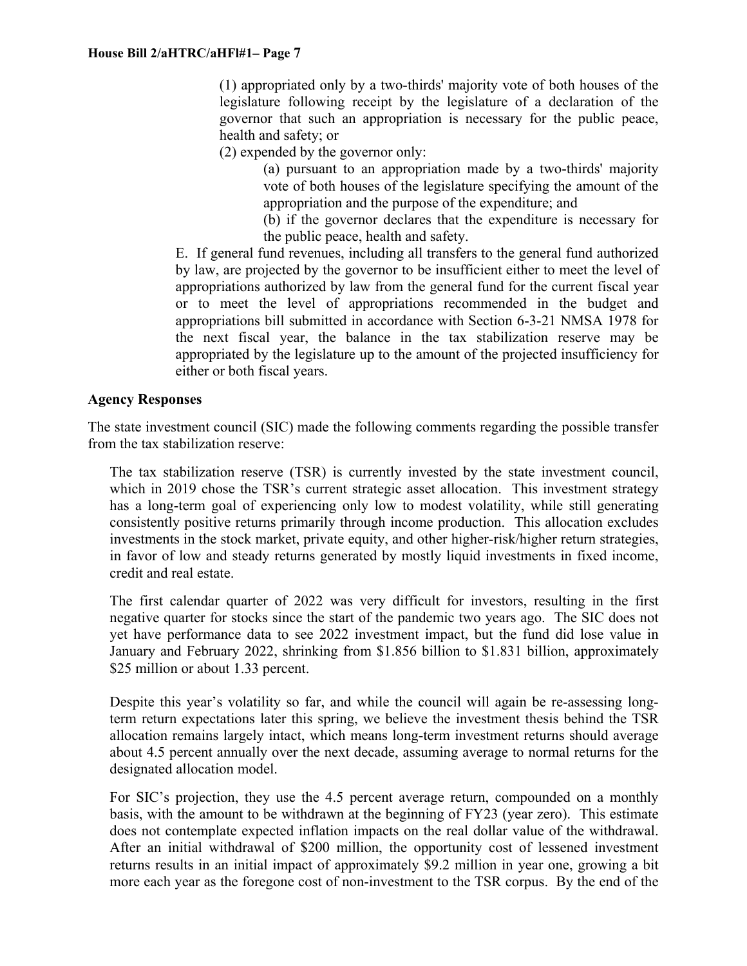(1) appropriated only by a two-thirds' majority vote of both houses of the legislature following receipt by the legislature of a declaration of the governor that such an appropriation is necessary for the public peace, health and safety; or

(2) expended by the governor only:

(a) pursuant to an appropriation made by a two-thirds' majority vote of both houses of the legislature specifying the amount of the appropriation and the purpose of the expenditure; and

(b) if the governor declares that the expenditure is necessary for the public peace, health and safety.

E. If general fund revenues, including all transfers to the general fund authorized by law, are projected by the governor to be insufficient either to meet the level of appropriations authorized by law from the general fund for the current fiscal year or to meet the level of appropriations recommended in the budget and appropriations bill submitted in accordance with Section 6-3-21 NMSA 1978 for the next fiscal year, the balance in the tax stabilization reserve may be appropriated by the legislature up to the amount of the projected insufficiency for either or both fiscal years.

## **Agency Responses**

The state investment council (SIC) made the following comments regarding the possible transfer from the tax stabilization reserve:

The tax stabilization reserve (TSR) is currently invested by the state investment council, which in 2019 chose the TSR's current strategic asset allocation. This investment strategy has a long-term goal of experiencing only low to modest volatility, while still generating consistently positive returns primarily through income production. This allocation excludes investments in the stock market, private equity, and other higher-risk/higher return strategies, in favor of low and steady returns generated by mostly liquid investments in fixed income, credit and real estate.

The first calendar quarter of 2022 was very difficult for investors, resulting in the first negative quarter for stocks since the start of the pandemic two years ago. The SIC does not yet have performance data to see 2022 investment impact, but the fund did lose value in January and February 2022, shrinking from \$1.856 billion to \$1.831 billion, approximately \$25 million or about 1.33 percent.

Despite this year's volatility so far, and while the council will again be re-assessing longterm return expectations later this spring, we believe the investment thesis behind the TSR allocation remains largely intact, which means long-term investment returns should average about 4.5 percent annually over the next decade, assuming average to normal returns for the designated allocation model.

For SIC's projection, they use the 4.5 percent average return, compounded on a monthly basis, with the amount to be withdrawn at the beginning of FY23 (year zero). This estimate does not contemplate expected inflation impacts on the real dollar value of the withdrawal. After an initial withdrawal of \$200 million, the opportunity cost of lessened investment returns results in an initial impact of approximately \$9.2 million in year one, growing a bit more each year as the foregone cost of non-investment to the TSR corpus. By the end of the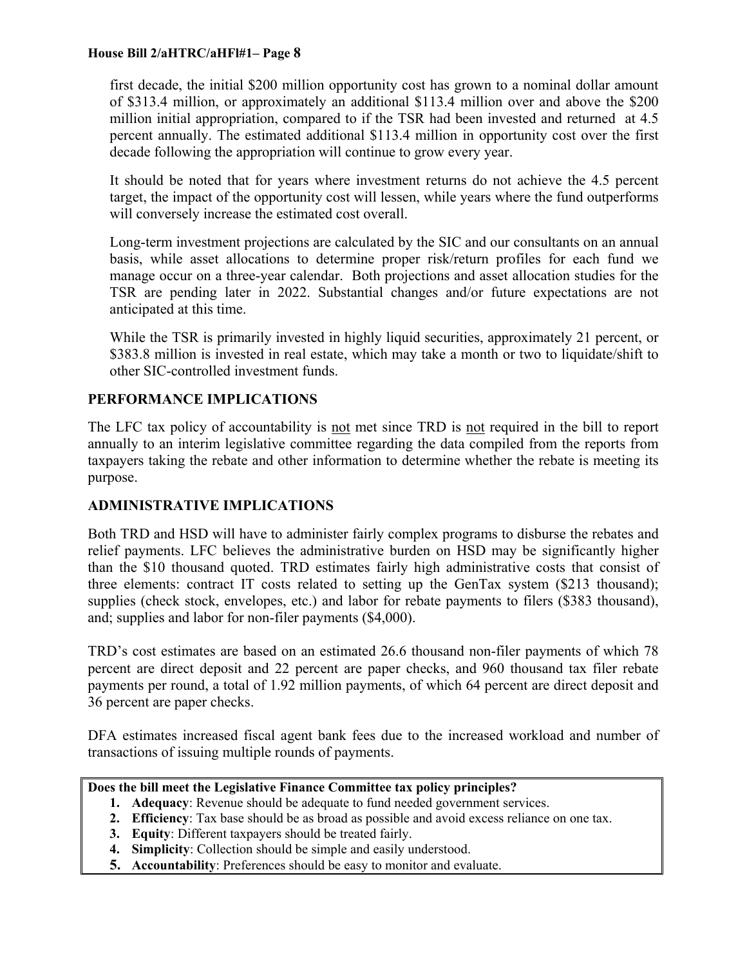first decade, the initial \$200 million opportunity cost has grown to a nominal dollar amount of \$313.4 million, or approximately an additional \$113.4 million over and above the \$200 million initial appropriation, compared to if the TSR had been invested and returned at 4.5 percent annually. The estimated additional \$113.4 million in opportunity cost over the first decade following the appropriation will continue to grow every year.

It should be noted that for years where investment returns do not achieve the 4.5 percent target, the impact of the opportunity cost will lessen, while years where the fund outperforms will conversely increase the estimated cost overall.

Long-term investment projections are calculated by the SIC and our consultants on an annual basis, while asset allocations to determine proper risk/return profiles for each fund we manage occur on a three-year calendar. Both projections and asset allocation studies for the TSR are pending later in 2022. Substantial changes and/or future expectations are not anticipated at this time.

While the TSR is primarily invested in highly liquid securities, approximately 21 percent, or \$383.8 million is invested in real estate, which may take a month or two to liquidate/shift to other SIC-controlled investment funds.

# **PERFORMANCE IMPLICATIONS**

The LFC tax policy of accountability is not met since TRD is not required in the bill to report annually to an interim legislative committee regarding the data compiled from the reports from taxpayers taking the rebate and other information to determine whether the rebate is meeting its purpose.

# **ADMINISTRATIVE IMPLICATIONS**

Both TRD and HSD will have to administer fairly complex programs to disburse the rebates and relief payments. LFC believes the administrative burden on HSD may be significantly higher than the \$10 thousand quoted. TRD estimates fairly high administrative costs that consist of three elements: contract IT costs related to setting up the GenTax system (\$213 thousand); supplies (check stock, envelopes, etc.) and labor for rebate payments to filers (\$383 thousand), and; supplies and labor for non-filer payments (\$4,000).

TRD's cost estimates are based on an estimated 26.6 thousand non-filer payments of which 78 percent are direct deposit and 22 percent are paper checks, and 960 thousand tax filer rebate payments per round, a total of 1.92 million payments, of which 64 percent are direct deposit and 36 percent are paper checks.

DFA estimates increased fiscal agent bank fees due to the increased workload and number of transactions of issuing multiple rounds of payments.

# **Does the bill meet the Legislative Finance Committee tax policy principles?**

- **1. Adequacy**: Revenue should be adequate to fund needed government services.
- **2. Efficiency**: Tax base should be as broad as possible and avoid excess reliance on one tax.
- **3. Equity**: Different taxpayers should be treated fairly.
- **4. Simplicity**: Collection should be simple and easily understood.
- **5. Accountability**: Preferences should be easy to monitor and evaluate.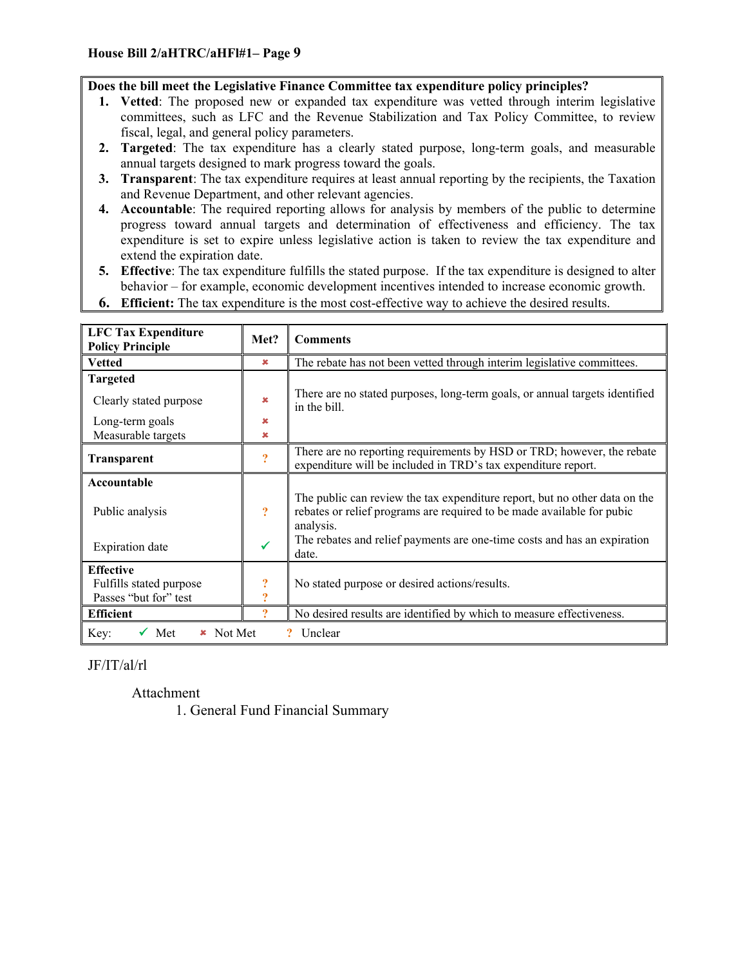#### **Does the bill meet the Legislative Finance Committee tax expenditure policy principles?**

- **1. Vetted**: The proposed new or expanded tax expenditure was vetted through interim legislative committees, such as LFC and the Revenue Stabilization and Tax Policy Committee, to review fiscal, legal, and general policy parameters.
- **2. Targeted**: The tax expenditure has a clearly stated purpose, long-term goals, and measurable annual targets designed to mark progress toward the goals.
- **3. Transparent**: The tax expenditure requires at least annual reporting by the recipients, the Taxation and Revenue Department, and other relevant agencies.
- **4. Accountable**: The required reporting allows for analysis by members of the public to determine progress toward annual targets and determination of effectiveness and efficiency. The tax expenditure is set to expire unless legislative action is taken to review the tax expenditure and extend the expiration date.
- **5. Effective**: The tax expenditure fulfills the stated purpose. If the tax expenditure is designed to alter behavior – for example, economic development incentives intended to increase economic growth.
- **6. Efficient:** The tax expenditure is the most cost-effective way to achieve the desired results.

| <b>LFC Tax Expenditure</b><br><b>Policy Principle</b>                | Met?                         | <b>Comments</b>                                                                                                                                                   |
|----------------------------------------------------------------------|------------------------------|-------------------------------------------------------------------------------------------------------------------------------------------------------------------|
| <b>Vetted</b>                                                        | $\pmb{\times}$               | The rebate has not been vetted through interim legislative committees.                                                                                            |
| <b>Targeted</b>                                                      |                              |                                                                                                                                                                   |
| Clearly stated purpose                                               | $\boldsymbol{\mathsf{x}}$    | There are no stated purposes, long-term goals, or annual targets identified<br>in the bill.                                                                       |
| Long-term goals                                                      | ×                            |                                                                                                                                                                   |
| Measurable targets                                                   | ×                            |                                                                                                                                                                   |
| <b>Transparent</b>                                                   | $\overline{?}$               | There are no reporting requirements by HSD or TRD; however, the rebate<br>expenditure will be included in TRD's tax expenditure report.                           |
| Accountable                                                          |                              |                                                                                                                                                                   |
| Public analysis                                                      | $\overline{?}$               | The public can review the tax expenditure report, but no other data on the<br>rebates or relief programs are required to be made available for pubic<br>analysis. |
| <b>Expiration</b> date                                               |                              | The rebates and relief payments are one-time costs and has an expiration<br>date.                                                                                 |
| <b>Effective</b><br>Fulfills stated purpose<br>Passes "but for" test | $\overline{\mathbf{?}}$<br>9 | No stated purpose or desired actions/results.                                                                                                                     |
| <b>Efficient</b>                                                     |                              | No desired results are identified by which to measure effectiveness.                                                                                              |
| Met<br>Not Met<br>Key:<br>$\mathbf x$                                |                              | Unclear                                                                                                                                                           |

# JF/IT/al/rl

Attachment

1. General Fund Financial Summary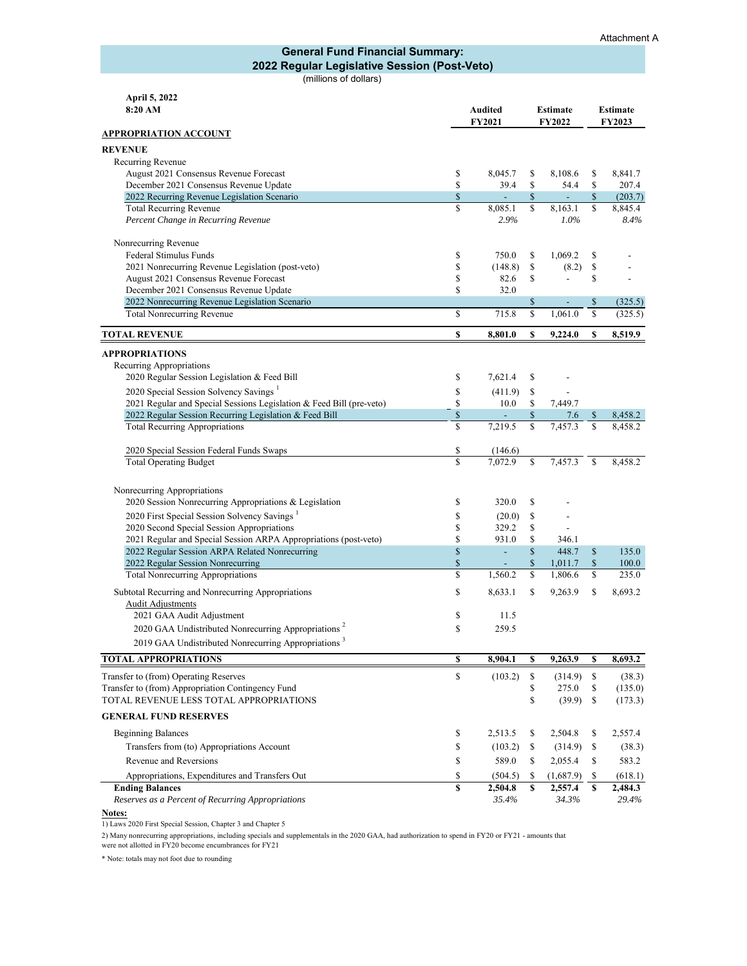#### **General Fund Financial Summary: 2022 Regular Legislative Session (Post-Veto)**

(millions of dollars)

| April 5, 2022<br>8:20 AM                                                     | <b>Audited</b><br><b>FY2021</b> |                | <b>Estimate</b><br>FY2022 |                |          | <b>Estimate</b><br><b>FY2023</b> |
|------------------------------------------------------------------------------|---------------------------------|----------------|---------------------------|----------------|----------|----------------------------------|
| <b>APPROPRIATION ACCOUNT</b>                                                 |                                 |                |                           |                |          |                                  |
|                                                                              |                                 |                |                           |                |          |                                  |
| <b>REVENUE</b>                                                               |                                 |                |                           |                |          |                                  |
| Recurring Revenue<br>August 2021 Consensus Revenue Forecast                  | \$                              | 8,045.7        | \$                        | 8,108.6        | \$       | 8.841.7                          |
| December 2021 Consensus Revenue Update                                       | \$                              | 39.4           | \$                        | 54.4           | \$       | 207.4                            |
| 2022 Recurring Revenue Legislation Scenario                                  | $\$$                            | ÷,             | \$                        | Ξ              | \$       | (203.7)                          |
| <b>Total Recurring Revenue</b>                                               | \$                              | 8,085.1        | \$                        | 8,163.1        | \$       | 8,845.4                          |
| Percent Change in Recurring Revenue                                          |                                 | 2.9%           |                           | 1.0%           |          | 8.4%                             |
| Nonrecurring Revenue                                                         |                                 |                |                           |                |          |                                  |
| Federal Stimulus Funds                                                       | \$                              | 750.0          | \$                        | 1,069.2        | \$       |                                  |
| 2021 Nonrecurring Revenue Legislation (post-veto)                            | \$                              | (148.8)        | \$                        | (8.2)          | \$       |                                  |
| August 2021 Consensus Revenue Forecast                                       | \$                              | 82.6           | \$                        | $\overline{a}$ | \$       |                                  |
| December 2021 Consensus Revenue Update                                       | \$                              | 32.0           |                           |                |          |                                  |
| 2022 Nonrecurring Revenue Legislation Scenario<br>Total Nonrecurring Revenue | \$                              | 715.8          | \$<br>\$                  | 1,061.0        | \$<br>\$ | (325.5)<br>(325.5)               |
|                                                                              |                                 |                |                           |                |          |                                  |
| <b>TOTAL REVENUE</b>                                                         | \$                              | 8,801.0        | \$                        | 9,224.0        | \$       | 8,519.9                          |
| <b>APPROPRIATIONS</b>                                                        |                                 |                |                           |                |          |                                  |
| Recurring Appropriations                                                     |                                 |                |                           |                |          |                                  |
| 2020 Regular Session Legislation & Feed Bill                                 | \$                              | 7,621.4        | \$                        |                |          |                                  |
| 2020 Special Session Solvency Savings <sup>1</sup>                           | \$                              | (411.9)        | \$                        |                |          |                                  |
| 2021 Regular and Special Sessions Legislation & Feed Bill (pre-veto)         | \$                              | 10.0           | \$                        | 7,449.7        |          |                                  |
| 2022 Regular Session Recurring Legislation & Feed Bill                       | \$<br>\$                        | ÷,             | \$<br>Ŝ                   | 7.6            | \$<br>\$ | 8,458.2                          |
| <b>Total Recurring Appropriations</b>                                        |                                 | 7,219.5        |                           | 7,457.3        |          | 8,458.2                          |
| 2020 Special Session Federal Funds Swaps                                     | \$                              | (146.6)        |                           |                |          |                                  |
| <b>Total Operating Budget</b>                                                | $\mathbf S$                     | 7.072.9        | S                         | 7,457.3        | \$       | 8,458.2                          |
| Nonrecurring Appropriations                                                  |                                 |                |                           |                |          |                                  |
| 2020 Session Nonrecurring Appropriations & Legislation                       | \$                              | 320.0          | \$                        |                |          |                                  |
| 2020 First Special Session Solvency Savings <sup>1</sup>                     | \$                              | (20.0)         | \$                        |                |          |                                  |
| 2020 Second Special Session Appropriations                                   | \$                              | 329.2          | \$                        |                |          |                                  |
| 2021 Regular and Special Session ARPA Appropriations (post-veto)             | \$                              | 931.0          | \$                        | 346.1          |          |                                  |
| 2022 Regular Session ARPA Related Nonrecurring                               | \$                              | ÷,             | $\mathbb{S}$              | 448.7          | \$       | 135.0                            |
| 2022 Regular Session Nonrecurring                                            | \$                              | $\overline{a}$ | \$                        | 1,011.7        | $\$$     | 100.0                            |
| Total Nonrecurring Appropriations                                            | \$                              | 1,560.2        | \$                        | 1.806.6        | \$       | 235.0                            |
| Subtotal Recurring and Nonrecurring Appropriations                           | \$                              | 8,633.1        | \$                        | 9,263.9        | \$       | 8,693.2                          |
| <b>Audit Adjustments</b>                                                     |                                 |                |                           |                |          |                                  |
| 2021 GAA Audit Adjustment                                                    | \$                              | 11.5           |                           |                |          |                                  |
| 2020 GAA Undistributed Nonrecurring Appropriations <sup>2</sup>              | \$                              | 259.5          |                           |                |          |                                  |
| 2019 GAA Undistributed Nonrecurring Appropriations <sup>3</sup>              |                                 |                |                           |                |          |                                  |
| <b>TOTAL APPROPRIATIONS</b>                                                  | \$                              | 8,904.1        | \$                        | 9,263.9        | \$       | 8,693.2                          |
| Transfer to (from) Operating Reserves                                        | $\mathbb{S}$                    | (103.2)        | \$                        | (314.9)        | \$       | (38.3)                           |
| Transfer to (from) Appropriation Contingency Fund                            |                                 |                | \$                        | 275.0          | \$       | (135.0)                          |
| TOTAL REVENUE LESS TOTAL APPROPRIATIONS                                      |                                 |                | \$                        | (39.9)         | \$       | (173.3)                          |
| <b>GENERAL FUND RESERVES</b>                                                 |                                 |                |                           |                |          |                                  |
| <b>Beginning Balances</b>                                                    | \$                              | 2,513.5        | \$                        | 2,504.8        | \$       | 2,557.4                          |
| Transfers from (to) Appropriations Account                                   | \$                              | (103.2)        | \$                        | (314.9)        | \$       | (38.3)                           |
| Revenue and Reversions                                                       | \$                              | 589.0          | \$                        | 2,055.4        | \$       | 583.2                            |
| Appropriations, Expenditures and Transfers Out                               | \$                              | (504.5)        | \$                        | (1,687.9)      | \$       | (618.1)                          |
| <b>Ending Balances</b>                                                       | \$                              | 2,504.8        | \$                        | 2,557.4        | \$       | 2,484.3                          |
| Reserves as a Percent of Recurring Appropriations                            |                                 | 35.4%          |                           | 34.3%          |          | 29.4%                            |

**Notes:** 1) Laws 2020 First Special Session, Chapter 3 and Chapter 5

2) Many nonrecurring appropriations, including specials and supplementals in the 2020 GAA, had authorization to spend in FY20 or FY21 - amounts that were not allotted in FY20 become encumbrances for FY21

\* Note: totals may not foot due to rounding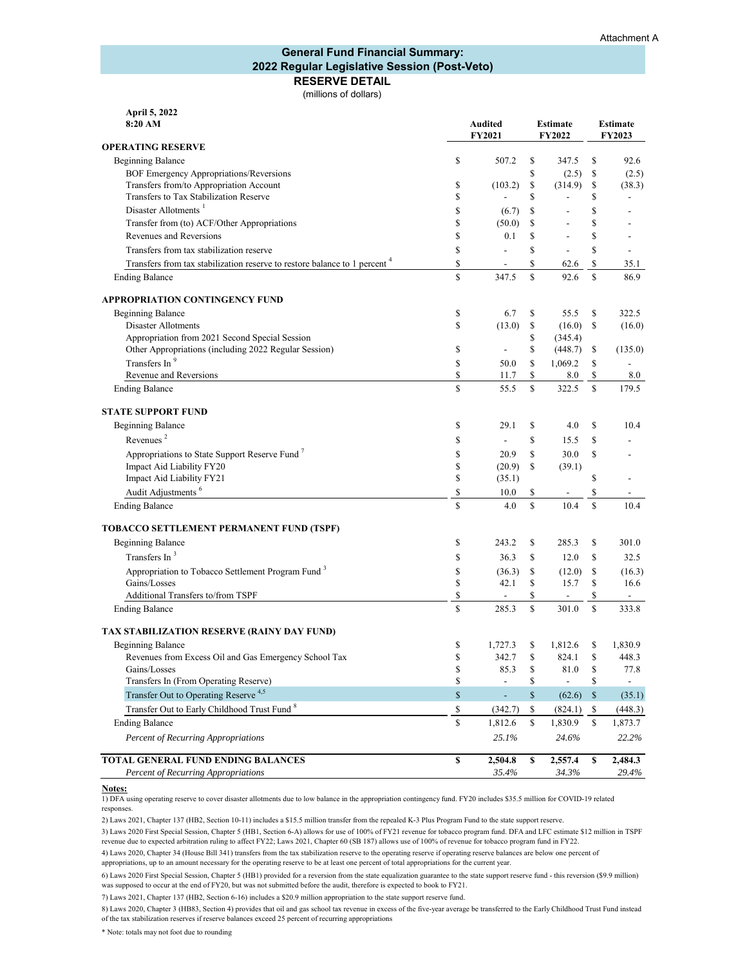#### **RESERVE DETAIL General Fund Financial Summary: 2022 Regular Legislative Session (Post-Veto)**

(millions of dollars)

| 8:20 AM                                                                               | <b>Audited</b><br><b>FY2021</b> |                          |             | <b>Estimate</b><br><b>FY2022</b> | <b>Estimate</b><br><b>FY2023</b> |                |  |
|---------------------------------------------------------------------------------------|---------------------------------|--------------------------|-------------|----------------------------------|----------------------------------|----------------|--|
| <b>OPERATING RESERVE</b>                                                              |                                 |                          |             |                                  |                                  |                |  |
| <b>Beginning Balance</b>                                                              | \$                              | 507.2                    | \$          | 347.5                            | \$                               | 92.6           |  |
| BOF Emergency Appropriations/Reversions                                               |                                 |                          | \$          | (2.5)                            | \$                               | (2.5)          |  |
| Transfers from/to Appropriation Account                                               | \$                              | (103.2)                  | \$          | (314.9)                          | \$                               | (38.3)         |  |
| Transfers to Tax Stabilization Reserve                                                | \$                              |                          | \$          |                                  | \$                               |                |  |
| Disaster Allotments <sup>1</sup>                                                      | \$                              | (6.7)                    | \$          |                                  | \$                               |                |  |
| Transfer from (to) ACF/Other Appropriations                                           | \$                              | (50.0)                   | \$          | $\overline{\phantom{a}}$         | \$                               |                |  |
| Revenues and Reversions                                                               | \$                              | 0.1                      | \$          | $\overline{a}$                   | \$                               |                |  |
| Transfers from tax stabilization reserve                                              | \$                              | $\overline{a}$           | \$          | $\overline{a}$                   | \$                               | $\overline{a}$ |  |
| Transfers from tax stabilization reserve to restore balance to 1 percent <sup>4</sup> | \$                              | $\overline{a}$           | \$          | 62.6                             | \$                               | 35.1           |  |
| <b>Ending Balance</b>                                                                 | \$                              | 347.5                    | \$          | 92.6                             | S                                | 86.9           |  |
| <b>APPROPRIATION CONTINGENCY FUND</b>                                                 |                                 |                          |             |                                  |                                  |                |  |
| <b>Beginning Balance</b>                                                              | \$                              | 6.7                      | \$          | 55.5                             | \$                               | 322.5          |  |
| <b>Disaster Allotments</b>                                                            | \$                              | (13.0)                   | \$          | (16.0)                           | \$                               | (16.0)         |  |
| Appropriation from 2021 Second Special Session                                        |                                 |                          | \$          | (345.4)                          |                                  |                |  |
| Other Appropriations (including 2022 Regular Session)                                 | \$                              | $\overline{\phantom{a}}$ | \$          | (448.7)                          | S                                | (135.0)        |  |
| Transfers In <sup>9</sup>                                                             | \$                              | 50.0                     | \$          | 1,069.2                          | \$                               |                |  |
| Revenue and Reversions                                                                | \$                              | 11.7                     | \$          | 8.0                              | \$                               | $8.0\,$        |  |
| <b>Ending Balance</b>                                                                 | S                               | 55.5                     | S           | 322.5                            | $\mathbf S$                      | 179.5          |  |
| <b>STATE SUPPORT FUND</b>                                                             |                                 |                          |             |                                  |                                  |                |  |
| <b>Beginning Balance</b>                                                              | \$                              | 29.1                     | \$          | 4.0                              | \$                               | 10.4           |  |
| Revenues <sup>2</sup>                                                                 | \$                              | $\overline{a}$           | \$          | 15.5                             | \$                               |                |  |
| Appropriations to State Support Reserve Fund <sup>7</sup>                             | \$                              | 20.9                     | \$          | 30.0                             | \$                               |                |  |
| Impact Aid Liability FY20                                                             | \$                              | (20.9)                   | \$          | (39.1)                           |                                  |                |  |
| Impact Aid Liability FY21                                                             | \$                              | (35.1)                   |             |                                  | \$                               |                |  |
| Audit Adjustments <sup>6</sup>                                                        | \$                              | 10.0                     | \$          |                                  | \$                               |                |  |
| <b>Ending Balance</b>                                                                 | S                               | 4.0                      | S           | 10.4                             | S                                | 10.4           |  |
| TOBACCO SETTLEMENT PERMANENT FUND (TSPF)                                              |                                 |                          |             |                                  |                                  |                |  |
| <b>Beginning Balance</b>                                                              | \$                              | 243.2                    | \$          | 285.3                            | \$                               | 301.0          |  |
| Transfers In <sup>3</sup>                                                             | \$                              | 36.3                     | \$          | 12.0                             | \$                               | 32.5           |  |
| Appropriation to Tobacco Settlement Program Fund <sup>3</sup>                         | \$                              | (36.3)                   | \$          | (12.0)                           | \$                               | (16.3)         |  |
| Gains/Losses                                                                          | \$                              | 42.1                     | S           | 15.7                             | \$                               | 16.6           |  |
| Additional Transfers to/from TSPF                                                     | \$                              | $\frac{1}{2}$            | \$          |                                  | \$                               | $\blacksquare$ |  |
| <b>Ending Balance</b>                                                                 | S                               | 285.3                    | S           | 301.0                            | $\mathbb{S}$                     | 333.8          |  |
| TAX STABILIZATION RESERVE (RAINY DAY FUND)                                            |                                 |                          |             |                                  |                                  |                |  |
| <b>Beginning Balance</b>                                                              | \$                              | 1,727.3                  | \$          | 1,812.6                          | \$                               | 1,830.9        |  |
| Revenues from Excess Oil and Gas Emergency School Tax                                 | \$                              | 342.7                    | S           | 824.1                            | S                                | 448.3          |  |
| Gains/Losses                                                                          | \$                              | 85.3                     | \$          | 81.0                             | \$                               | 77.8           |  |
| Transfers In (From Operating Reserve)                                                 | \$                              | $\blacksquare$           | \$          | $\overline{a}$                   | \$                               |                |  |
| Transfer Out to Operating Reserve <sup>4,5</sup>                                      | $\mathbf S$                     | L,                       | $\mathbf S$ | (62.6)                           | $\mathbb{S}$                     | (35.1)         |  |
| Transfer Out to Early Childhood Trust Fund <sup>8</sup>                               | \$                              | (342.7)                  | \$          | (824.1)                          | -S                               | (448.3)        |  |
| <b>Ending Balance</b>                                                                 | \$                              | 1,812.6                  | S.          | 1,830.9                          | \$                               | 1,873.7        |  |
| <b>Percent of Recurring Appropriations</b>                                            |                                 | 25.1%                    |             | 24.6%                            |                                  | 22.2%          |  |
| TOTAL GENERAL FUND ENDING BALANCES                                                    | \$                              | 2,504.8                  | \$          | 2,557.4                          | \$                               | 2,484.3        |  |
| <b>Percent of Recurring Appropriations</b>                                            |                                 | 35.4%                    |             | 34.3%                            |                                  | 29.4%          |  |

#### **Notes:**

**April 5, 2022**

1) DFA using operating reserve to cover disaster allotments due to low balance in the appropriation contingency fund. FY20 includes \$35.5 million for COVID-19 related responses.

2) Laws 2021, Chapter 137 (HB2, Section 10-11) includes a \$15.5 million transfer from the repealed K-3 Plus Program Fund to the state support reserve.

3) Laws 2020 First Special Session, Chapter 5 (HB1, Section 6-A) allows for use of 100% of FY21 revenue for tobacco program fund. DFA and LFC estimate \$12 million in TSPF revenue due to expected arbitration ruling to affect FY22; Laws 2021, Chapter 60 (SB 187) allows use of 100% of revenue for tobacco program fund in FY22.

4) Laws 2020, Chapter 34 (House Bill 341) transfers from the tax stabilization reserve to the operating reserve if operating reserve balances are below one percent of appropriations, up to an amount necessary for the operating reserve to be at least one percent of total appropriations for the current year.

6) Laws 2020 First Special Session, Chapter 5 (HB1) provided for a reversion from the state equalization guarantee to the state support reserve fund - this reversion (\$9.9 million) was supposed to occur at the end of FY20, but was not submitted before the audit, therefore is expected to book to FY21.

7) Laws 2021, Chapter 137 (HB2, Section 6-16) includes a \$20.9 million appropriation to the state support reserve fund.

8) Laws 2020, Chapter 3 (HB83, Section 4) provides that oil and gas school tax revenue in excess of the five-year average be transferred to the Early Childhood Trust Fund instead of the tax stabilization reserves if reserve balances exceed 25 percent of recurring appropriations

\* Note: totals may not foot due to rounding